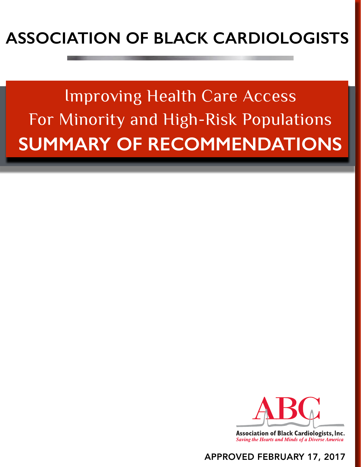# **ASSOCIATION OF BLACK CARDIOLOGISTS**

For Minority and High-Risk Populations **SUMMARY OF RECOMMENDATIONS** Improving Health Care Access



# APPROVED FEBRUARY 17, 2017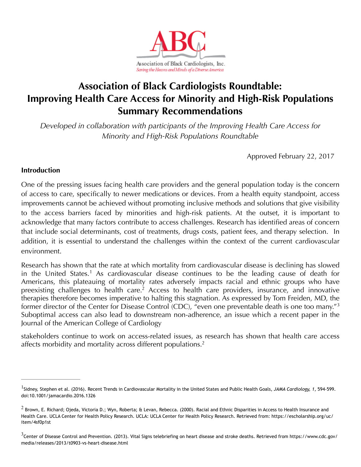

# **Association of Black Cardiologists Roundtable: Improving Health Care Access for Minority and High-Risk Populations Summary Recommendations**

*Developed in collaboration with participants of the Improving Health Care Access for Minority and High-Risk Populations Roundtable* 

<span id="page-1-5"></span>Approved February 22, 2017

# **Introduction**

One of the pressing issues facing health care providers and the general population today is the concern of access to care, specifically to newer medications or devices. From a health equity standpoint, access improvements cannot be achieved without promoting inclusive methods and solutions that give visibility to the access barriers faced by minorities and high-risk patients. At the outset, it is important to acknowledge that many factors contribute to access challenges. Research has identified areas of concern that include social determinants, cost of treatments, drugs costs, patient fees, and therapy selection. In addition, it is essential to understand the challenges within the context of the current cardiovascular environment.

<span id="page-1-4"></span><span id="page-1-3"></span>Research has shown that the rate at which mortality from cardiovascular disease is declining has slowed in the United States.<sup>[1](#page-1-0)</sup> As cardiovascular disease continues to be the leading cause of death for Americans, this plateauing of mortality rates adversely impacts racial and ethnic groups who have preexisting challenges to health care.<sup>[2](#page-1-1)</sup> Access to health care providers, insurance, and innovative therapies therefore becomes imperative to halting this stagnation. As expressed by Tom Freiden, MD, the former director of the Center for Disease Control (CDC), "even one preventable death is one too many."<sup>[3](#page-1-2)</sup> Suboptimal access can also lead to downstream non-adherence, an issue which a recent paper in the Journal of the American College of Cardiology

stakeholders continue to work on access-related issues, as research has shown that health care access affects morbidity and mortality across different populations.<sup>2</sup>

<span id="page-1-0"></span><sup>&</sup>lt;sup>[1](#page-1-3)</sup>Sidney, Stephen et al. (2016). Recent Trends in Cardiovascular Mortality in the United States and Public Health Goals, JAMA Cardiology, 1, 594-599. doi:10.1001/jamacardio.2016.1326

<span id="page-1-1"></span> $^2$  $^2$  Brown, E. Richard; Ojeda, Victoria D.; Wyn, Roberta; & Levan, Rebecca. (2000). Racial and Ethnic Disparities in Access to Health Insurance and Health Care. UCLA Center for Health Policy Research. UCLA: UCLA Center for Health Policy Research. Retrieved from: https://escholarship.org/uc/ item/4sf0p1st

<span id="page-1-2"></span> $3$ Center of Disease Control and Prevention. (2013). Vital Signs telebriefing on heart disease and stroke deaths. Retrieved from https://www.cdc.gov/ media/releases/2013/t0903-vs-heart-disease.html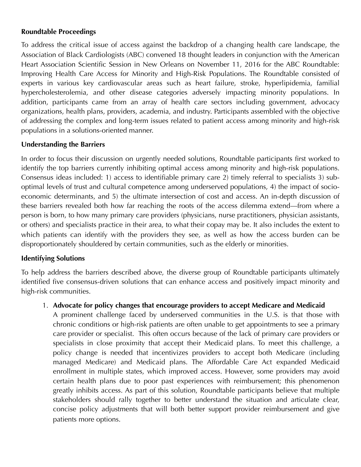# **Roundtable Proceedings**

To address the critical issue of access against the backdrop of a changing health care landscape, the Association of Black Cardiologists (ABC) convened 18 thought leaders in conjunction with the American Heart Association Scientific Session in New Orleans on November 11, 2016 for the ABC Roundtable: Improving Health Care Access for Minority and High-Risk Populations. The Roundtable consisted of experts in various key cardiovascular areas such as heart failure, stroke, hyperlipidemia, familial hypercholesterolemia, and other disease categories adversely impacting minority populations. In addition, participants came from an array of health care sectors including government, advocacy organizations, health plans, providers, academia, and industry. Participants assembled with the objective of addressing the complex and long-term issues related to patient access among minority and high-risk populations in a solutions-oriented manner.

# **Understanding the Barriers**

In order to focus their discussion on urgently needed solutions, Roundtable participants first worked to identify the top barriers currently inhibiting optimal access among minority and high-risk populations. Consensus ideas included: 1) access to identifiable primary care 2) timely referral to specialists 3) suboptimal levels of trust and cultural competence among underserved populations, 4) the impact of socioeconomic determinants, and 5) the ultimate intersection of cost and access. An in-depth discussion of these barriers revealed both how far reaching the roots of the access dilemma extend—from where a person is born, to how many primary care providers (physicians, nurse practitioners, physician assistants, or others) and specialists practice in their area, to what their copay may be. It also includes the extent to which patients can identify with the providers they see, as well as how the access burden can be disproportionately shouldered by certain communities, such as the elderly or minorities.

#### **Identifying Solutions**

To help address the barriers described above, the diverse group of Roundtable participants ultimately identified five consensus-driven solutions that can enhance access and positively impact minority and high-risk communities.

1. **Advocate for policy changes that encourage providers to accept Medicare and Medicaid** 

A prominent challenge faced by underserved communities in the U.S. is that those with chronic conditions or high-risk patients are often unable to get appointments to see a primary care provider or specialist. This often occurs because of the lack of primary care providers or specialists in close proximity that accept their Medicaid plans. To meet this challenge, a policy change is needed that incentivizes providers to accept both Medicare (including managed Medicare) and Medicaid plans. The Affordable Care Act expanded Medicaid enrollment in multiple states, which improved access. However, some providers may avoid certain health plans due to poor past experiences with reimbursement; this phenomenon greatly inhibits access. As part of this solution, Roundtable participants believe that multiple stakeholders should rally together to better understand the situation and articulate clear, concise policy adjustments that will both better support provider reimbursement and give patients more options.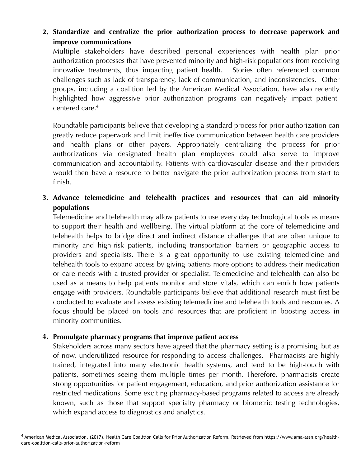# **2. Standardize and centralize the prior authorization process to decrease paperwork and improve communications**

Multiple stakeholders have described personal experiences with health plan prior authorization processes that have prevented minority and high-risk populations from receiving innovative treatments, thus impacting patient health. Stories often referenced common challenges such as lack of transparency, lack of communication, and inconsistencies. Other groups, including a coalition led by the American Medical Association, have also recently highlighted how aggressive prior authorization programs can negatively impact patientcentered care[.4](#page-3-0)

<span id="page-3-1"></span>Roundtable participants believe that developing a standard process for prior authorization can greatly reduce paperwork and limit ineffective communication between health care providers and health plans or other payers. Appropriately centralizing the process for prior authorizations via designated health plan employees could also serve to improve communication and accountability. Patients with cardiovascular disease and their providers would then have a resource to better navigate the prior authorization process from start to finish.

# **3. Advance telemedicine and telehealth practices and resources that can aid minority populations**

Telemedicine and telehealth may allow patients to use every day technological tools as means to support their health and wellbeing. The virtual platform at the core of telemedicine and telehealth helps to bridge direct and indirect distance challenges that are often unique to minority and high-risk patients, including transportation barriers or geographic access to providers and specialists. There is a great opportunity to use existing telemedicine and telehealth tools to expand access by giving patients more options to address their medication or care needs with a trusted provider or specialist. Telemedicine and telehealth can also be used as a means to help patients monitor and store vitals, which can enrich how patients engage with providers. Roundtable participants believe that additional research must first be conducted to evaluate and assess existing telemedicine and telehealth tools and resources. A focus should be placed on tools and resources that are proficient in boosting access in minority communities.

# **4. Promulgate pharmacy programs that improve patient access**

Stakeholders across many sectors have agreed that the pharmacy setting is a promising, but as of now, underutilized resource for responding to access challenges. Pharmacists are highly trained, integrated into many electronic health systems, and tend to be high-touch with patients, sometimes seeing them multiple times per month. Therefore, pharmacists create strong opportunities for patient engagement, education, and prior authorization assistance for restricted medications. Some exciting pharmacy-based programs related to access are already known, such as those that support specialty pharmacy or biometric testing technologies, which expand access to diagnostics and analytics.

<span id="page-3-0"></span>American Medical Association. (2017). Health Care Coalition Calls for Prior Authorization Reform. Retrieved from https://www.ama-assn.org/health- [4](#page-3-1) care-coalition-calls-prior-authorization-reform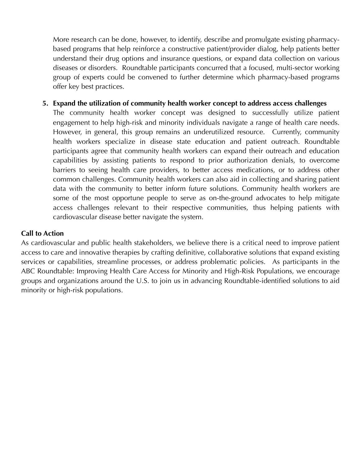More research can be done, however, to identify, describe and promulgate existing pharmacybased programs that help reinforce a constructive patient/provider dialog, help patients better understand their drug options and insurance questions, or expand data collection on various diseases or disorders. Roundtable participants concurred that a focused, multi-sector working group of experts could be convened to further determine which pharmacy-based programs offer key best practices.

**5. Expand the utilization of community health worker concept to address access challenges** 

The community health worker concept was designed to successfully utilize patient engagement to help high-risk and minority individuals navigate a range of health care needs. However, in general, this group remains an underutilized resource. Currently, community health workers specialize in disease state education and patient outreach. Roundtable participants agree that community health workers can expand their outreach and education capabilities by assisting patients to respond to prior authorization denials, to overcome barriers to seeing health care providers, to better access medications, or to address other common challenges. Community health workers can also aid in collecting and sharing patient data with the community to better inform future solutions. Community health workers are some of the most opportune people to serve as on-the-ground advocates to help mitigate access challenges relevant to their respective communities, thus helping patients with cardiovascular disease better navigate the system.

#### **Call to Action**

As cardiovascular and public health stakeholders, we believe there is a critical need to improve patient access to care and innovative therapies by crafting definitive, collaborative solutions that expand existing services or capabilities, streamline processes, or address problematic policies. As participants in the ABC Roundtable: Improving Health Care Access for Minority and High-Risk Populations, we encourage groups and organizations around the U.S. to join us in advancing Roundtable-identified solutions to aid minority or high-risk populations.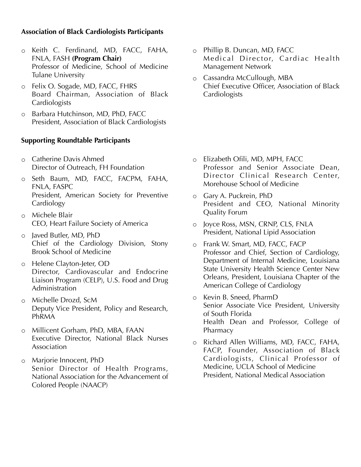# **Association of Black Cardiologists Participants**

- o Keith C. Ferdinand, MD, FACC, FAHA, FNLA, FASH **(Program Chair)** Professor of Medicine, School of Medicine Tulane University
- o Felix O. Sogade, MD, FACC, FHRS Board Chairman, Association of Black Cardiologists
- o Barbara Hutchinson, MD, PhD, FACC President, Association of Black Cardiologists

## **Supporting Roundtable Participants**

- o Catherine Davis Ahmed Director of Outreach, FH Foundation
- o Seth Baum, MD, FACC, FACPM, FAHA, FNLA, FASPC President, American Society for Preventive Cardiology
- o Michele Blair CEO, Heart Failure Society of America
- o Javed Butler, MD, PhD Chief of the Cardiology Division, Stony Brook School of Medicine
- o Helene Clayton-Jeter, OD Director, Cardiovascular and Endocrine Liaison Program (CELP), U.S. Food and Drug Administration
- o Michelle Drozd, ScM Deputy Vice President, Policy and Research, PhRMA
- o Millicent Gorham, PhD, MBA, FAAN Executive Director, National Black Nurses Association
- o Marjorie Innocent, PhD Senior Director of Health Programs, National Association for the Advancement of Colored People (NAACP)
- o Phillip B. Duncan, MD, FACC Medical Director, Cardiac Health Management Network
- o Cassandra McCullough, MBA Chief Executive Officer, Association of Black Cardiologists

- o Elizabeth Ofili, MD, MPH, FACC Professor and Senior Associate Dean, Director Clinical Research Center, Morehouse School of Medicine
- o Gary A. Puckrein, PhD President and CEO, National Minority Quality Forum
- o Joyce Ross, MSN, CRNP, CLS, FNLA President, National Lipid Association
- o Frank W. Smart, MD, FACC, FACP Professor and Chief, Section of Cardiology, Department of Internal Medicine, Louisiana State University Health Science Center New Orleans, President, Louisiana Chapter of the American College of Cardiology
- o Kevin B. Sneed, PharmD Senior Associate Vice President, University of South Florida Health Dean and Professor, College of Pharmacy
- o Richard Allen Williams, MD, FACC, FAHA, FACP, Founder, Association of Black Cardiologists, Clinical Professor of Medicine, UCLA School of Medicine President, National Medical Association